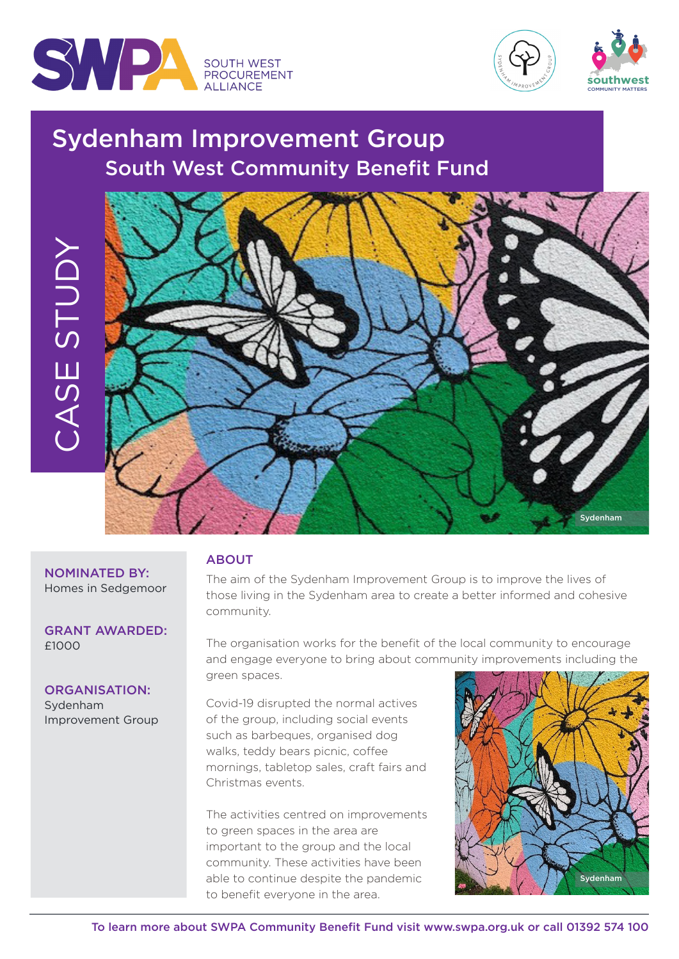





# Sydenham Improvement Group South West Community Benefit Fund



#### NOMINATED BY: Homes in Sedgemoor

GRANT AWARDED: £1000

## ORGANISATION:

Sydenham Improvement Group

## ABOUT

The aim of the Sydenham Improvement Group is to improve the lives of those living in the Sydenham area to create a better informed and cohesive community.

The organisation works for the benefit of the local community to encourage and engage everyone to bring about community improvements including the green spaces.

Covid-19 disrupted the normal actives of the group, including social events such as barbeques, organised dog walks, teddy bears picnic, coffee mornings, tabletop sales, craft fairs and Christmas events.

The activities centred on improvements to green spaces in the area are important to the group and the local community. These activities have been able to continue despite the pandemic to benefit everyone in the area.